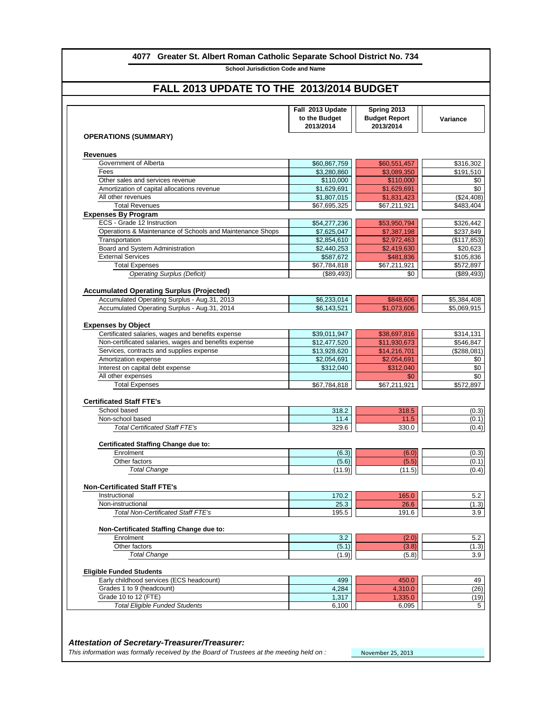| 4077 Greater St. Albert Roman Catholic Separate School District No. 734                                                                          |                                                |                                                  |                            |  |  |
|--------------------------------------------------------------------------------------------------------------------------------------------------|------------------------------------------------|--------------------------------------------------|----------------------------|--|--|
| <b>School Jurisdiction Code and Name</b>                                                                                                         |                                                |                                                  |                            |  |  |
| FALL 2013 UPDATE TO THE 2013/2014 BUDGET                                                                                                         |                                                |                                                  |                            |  |  |
|                                                                                                                                                  | Fall 2013 Update<br>to the Budget<br>2013/2014 | Spring 2013<br><b>Budget Report</b><br>2013/2014 | <b>Variance</b>            |  |  |
| <b>OPERATIONS (SUMMARY)</b>                                                                                                                      |                                                |                                                  |                            |  |  |
| <b>Revenues</b>                                                                                                                                  |                                                |                                                  |                            |  |  |
| Government of Alberta                                                                                                                            | \$60,867,759                                   | \$60,551,457                                     | \$316,302                  |  |  |
| Fees                                                                                                                                             | \$3,280,860                                    | \$3,089,350                                      | \$191,510                  |  |  |
| Other sales and services revenue                                                                                                                 | \$110,000                                      | \$110,000                                        |                            |  |  |
| Amortization of capital allocations revenue                                                                                                      | \$1,629,691                                    | \$1,629,691                                      |                            |  |  |
| All other revenues                                                                                                                               | \$1,807,015                                    | \$1,831,423                                      | (\$24,408)                 |  |  |
| <b>Total Revenues</b>                                                                                                                            | \$67,695,325                                   | \$67,211,921                                     | \$483,404                  |  |  |
| <b>Expenses By Program</b>                                                                                                                       |                                                |                                                  |                            |  |  |
| ECS - Grade 12 Instruction                                                                                                                       | \$54,277,236                                   | \$53,950,794                                     | \$326,442                  |  |  |
| Operations & Maintenance of Schools and Maintenance Shops                                                                                        | \$7,625,047                                    | \$7,387,198                                      | \$237,849                  |  |  |
| Transportation                                                                                                                                   | \$2,854,610                                    | \$2,972,463                                      | (\$117,853)                |  |  |
| Board and System Administration                                                                                                                  | \$2,440,253                                    | \$2,419,630                                      | \$20,623                   |  |  |
| <b>External Services</b>                                                                                                                         | \$587,672                                      | \$481,836                                        | \$105,836                  |  |  |
| <b>Total Expenses</b>                                                                                                                            | \$67,784,818                                   | \$67,211,921                                     | \$572,897                  |  |  |
| <b>Operating Surplus (Deficit)</b>                                                                                                               | (\$89,493)                                     | \$0                                              | (\$89,493)                 |  |  |
| <b>Accumulated Operating Surplus (Projected)</b><br>Accumulated Operating Surplus - Aug.31, 2013<br>Accumulated Operating Surplus - Aug.31, 2014 | \$6,233,014<br>\$6,143,521                     | \$848,606<br>\$1,073,606                         | \$5,384,408<br>\$5,069,915 |  |  |
|                                                                                                                                                  |                                                |                                                  |                            |  |  |
| <b>Expenses by Object</b>                                                                                                                        |                                                |                                                  |                            |  |  |
| Certificated salaries, wages and benefits expense                                                                                                | \$39,011,947                                   | \$38,697,816                                     | \$314,131                  |  |  |
| Non-certificated salaries, wages and benefits expense                                                                                            | \$12,477,520                                   | \$11,930,673                                     | \$546,847                  |  |  |
| Services, contracts and supplies expense                                                                                                         | \$13,928,620                                   | \$14,216,701                                     | (\$288,081)                |  |  |
| Amortization expense                                                                                                                             | \$2,054,691                                    | \$2,054,691                                      |                            |  |  |
| Interest on capital debt expense                                                                                                                 | \$312,040                                      | \$312,040                                        |                            |  |  |
| All other expenses<br><b>Total Expenses</b>                                                                                                      | \$67,784,818                                   | \$0<br>\$67,211,921                              | \$572,897                  |  |  |
|                                                                                                                                                  |                                                |                                                  |                            |  |  |
| <b>Certificated Staff FTE's</b><br>School based                                                                                                  | 318.2                                          | 318.5                                            |                            |  |  |
| Non-school based                                                                                                                                 | 11.4                                           | 11.5                                             |                            |  |  |
| <b>Total Certificated Staff FTE's</b>                                                                                                            | 329.6                                          | 330.0                                            |                            |  |  |
| <b>Certificated Staffing Change due to:</b>                                                                                                      |                                                |                                                  |                            |  |  |
| Enrolment                                                                                                                                        | (6.3)                                          | (6.0)                                            |                            |  |  |
| Other factors                                                                                                                                    | (5.6)                                          | (5.5)                                            |                            |  |  |
| <b>Total Change</b>                                                                                                                              | (11.9)                                         | (11.5)                                           |                            |  |  |
| <b>Non-Certificated Staff FTE's</b>                                                                                                              |                                                |                                                  |                            |  |  |
| Instructional                                                                                                                                    | 170.2                                          | 165.0                                            |                            |  |  |
|                                                                                                                                                  |                                                |                                                  |                            |  |  |
| Non-instructional                                                                                                                                | 25.3                                           | 26.6                                             |                            |  |  |

| Enrolment                                                                               | 3.2   | (2.0)             | 5.2   |
|-----------------------------------------------------------------------------------------|-------|-------------------|-------|
| Other factors                                                                           | (5.1) | (3.8)             | (1.3) |
| <b>Total Change</b>                                                                     | (1.9) | (5.8)             | 3.9   |
| <b>Eligible Funded Students</b>                                                         |       |                   |       |
| Early childhood services (ECS headcount)                                                | 499   | 450.0             | 49    |
| Grades 1 to 9 (headcount)                                                               | 4,284 | 4,310.0           | (26)  |
| Grade 10 to 12 (FTE)                                                                    | 1,317 | 1,335.0           | (19)  |
| <b>Total Eligible Funded Students</b>                                                   | 6,100 | 6,095             | 5     |
|                                                                                         |       |                   |       |
|                                                                                         |       |                   |       |
| <b>Attestation of Secretary-Treasurer/Treasurer:</b>                                    |       |                   |       |
| This information was formally received by the Board of Trustees at the meeting held on: |       | November 25, 2013 |       |